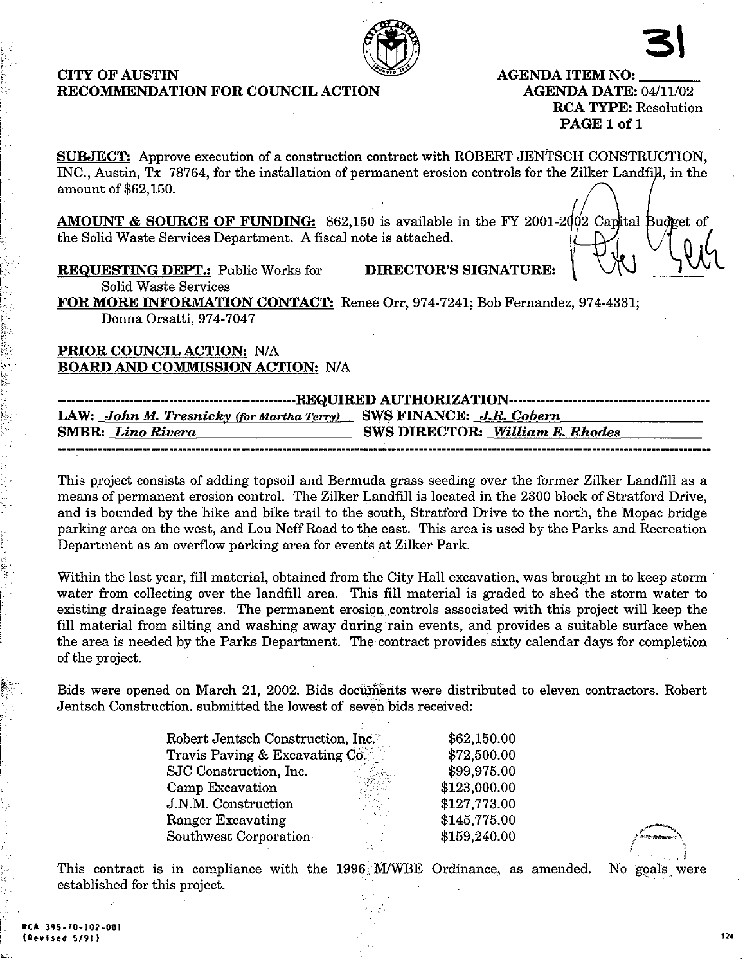### CITY OF AUSTIN RECOMMENDATION FOR COUNCIL ACTION

AGENDA ITEM NO: AGENDA DATE: 04/11/02 RCA TYPE: Resolution PAGE 1 of 1

SUBJECT: Approve execution of a construction contract with ROBERT JENTSCH CONSTRUCTION, INC., Austin, Tx 78764, for the installation of permanent erosion controls for the Zilker Landfill, in the amount of \$62,150.

AMOUNT & SOURCE OF FUNDING: \$62,150 is available in the FY 2001-2 $\dot{\phi}$ 2 the Solid Waste Services Department. A fiscal note is attached.

REQUESTING DEPT.: Public Works for DIRECTOR'S SIGNATURE:

Solid Waste Services

FOR MORE INFORMATION CONTACT: Renee Orr, 974-7241; Bob Fernandez, 974-4331; Donna Orsatti, 974-7047

PRIOR COUNCIL ACTION; N/A BOARD AND COMMISSION ACTION: N/A

| LAW: John M. Tresnicky (for Martha Terry) SWS FINANCE: J.R. Cobern |                                        |  |  |  |  |
|--------------------------------------------------------------------|----------------------------------------|--|--|--|--|
| <b>SMBR:</b> Lino Rivera                                           | <b>SWS DIRECTOR:</b> William E. Rhodes |  |  |  |  |
|                                                                    |                                        |  |  |  |  |

This project consists of adding topsoil and Bermuda grass seeding over the former Zilker Landfill as a means of permanent erosion control. The Zilker Landfill is located in the 2300 block of Stratford Drive, and is bounded by the hike and bike trail to the south, Stratford Drive to the north, the Mopac bridge parking area on the west, and Lou Neff Road to the east. This area is used by the Parks and Recreation Department as an overflow parking area for events at Zilker Park.

Within the last year, fill material, obtained from the City Hall excavation, was brought in to keep storm water from collecting over the landfill area. This fill material is graded to shed the storm water to existing drainage features. The permanent erosion controls associated with this project will keep the fill material from silting and washing away during rain events, and provides a suitable surface when the area is needed by the Parks Department. The contract provides sixty calendar days for completion of the project.

Bids were opened on March 21, 2002. Bids documents were distributed to eleven contractors. Robert Jentsch Construction, submitted the lowest of seven bids received:

| Robert Jentsch Construction, Inc. | \$62,150.00  |  |
|-----------------------------------|--------------|--|
| Travis Paving & Excavating Co.    | \$72,500.00  |  |
| SJC Construction, Inc.            | \$99,975.00  |  |
| Camp Excavation                   | \$123,000.00 |  |
| J.N.M. Construction               | \$127,773.00 |  |
| Ranger Excavating                 | \$145,775.00 |  |
| Southwest Corporation             | \$159,240.00 |  |

No goals were

This contract is in compliance with the 1996 M/WBE Ordinance, as amended, established for this project.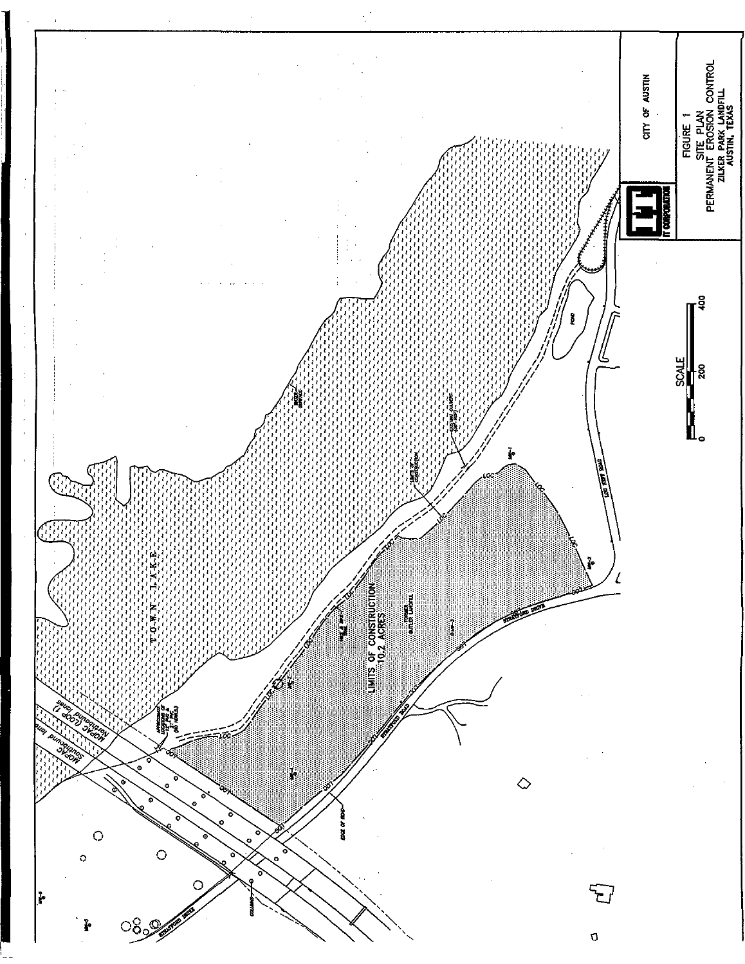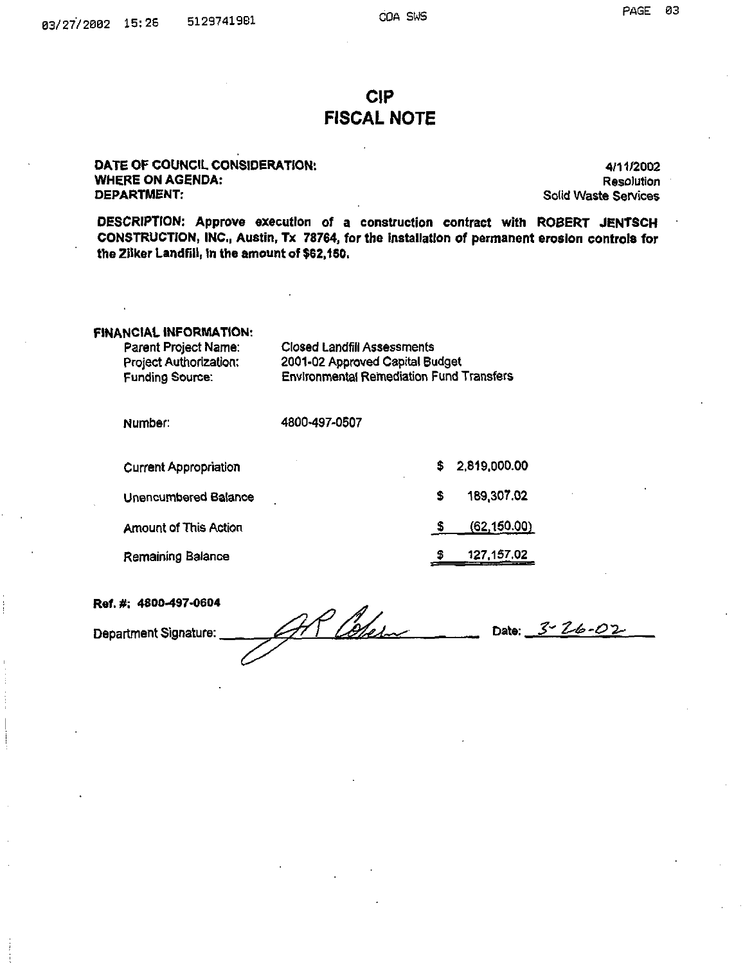# CIP FISCAL NOTE

#### DATE OP COUNCIL CONSIDERATION: WHERE ON AGENDA: DEPARTMENT:

4/11/2002 Resolution Solid Waste Services

DESCRIPTION: Approve execution of a construction contract with ROBERT JENTSCH CONSTRUCTION, INC., Austin, Tx 78764, for the installation of permanent erosion controls for the Zilker Landfill, in the amount of \$62,150.

#### FINANCIAL INFORMATION:

| Parent Project Name:   | <b>Closed Landfill Assessments</b>              |
|------------------------|-------------------------------------------------|
| Project Authorization: | 2001-02 Approved Capital Budget                 |
| Funding Source:        | <b>Environmental Remediation Fund Transfers</b> |

| Number:                      | 4800-497-0507 |    |              |  |
|------------------------------|---------------|----|--------------|--|
| <b>Current Appropriation</b> |               | S. | 2.819.000.00 |  |
| Unencumbered Balance         |               | \$ | 189,307.02   |  |
| <b>Amount of This Action</b> |               |    | (62, 150.00) |  |
| Remaining Balance            |               | 5  | 127, 157.02  |  |

Ref. #; 4800-497-0604 Department Signature:  $\mathcal{AP}$  Obelow Date: 3-26-02